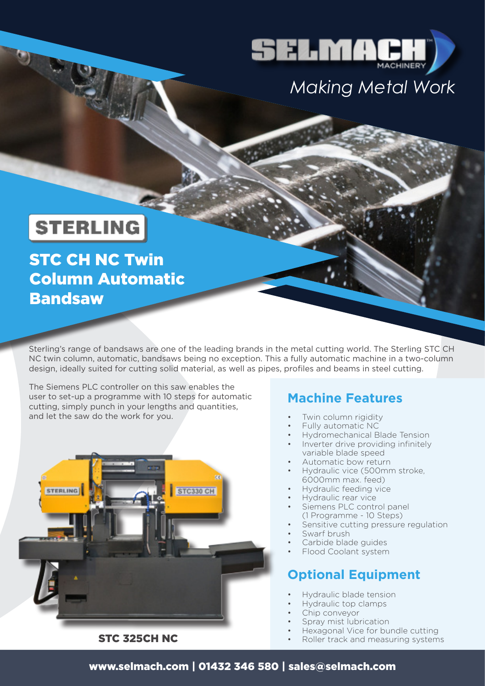

# *Making Metal Work*

## **STERLING**

STC CH NC Twin Column Automatic Bandsaw

Sterling's range of bandsaws are one of the leading brands in the metal cutting world. The Sterling STC CH NC twin column, automatic, bandsaws being no exception. This a fully automatic machine in a two-column design, ideally suited for cutting solid material, as well as pipes, profiles and beams in steel cutting.

The Siemens PLC controller on this saw enables the user to set-up a programme with 10 steps for automatic cutting, simply punch in your lengths and quantities, and let the saw do the work for you.



STC 325CH NC

### **Machine Features**

- Twin column rigidity
- Fully automatic NC
- Hydromechanical Blade Tension Inverter drive providing infinitely
- variable blade speed
- Automatic bow return
- Hydraulic vice (500mm stroke, 6000mm max. feed)
- Hydraulic feeding vice
- Hydraulic rear vice
- Siemens PLC control panel (1 Programme - 10 Steps)
- Sensitive cutting pressure regulation
- Swarf brush
- Carbide blade guides
- Flood Coolant system

#### **Optional Equipment**

- Hydraulic blade tension
- Hydraulic top clamps
- Chip conveyor
- Spray mist lubrication
- Hexagonal Vice for bundle cutting
- Roller track and measuring systems